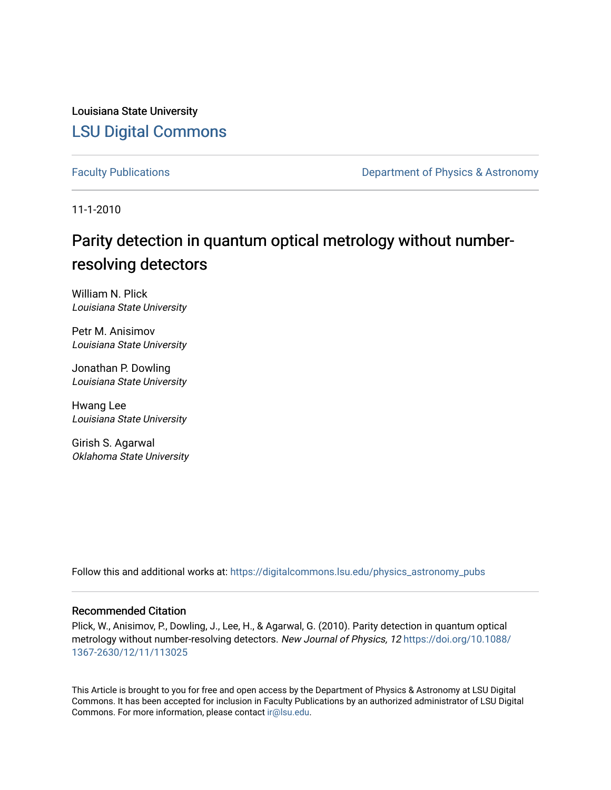Louisiana State University [LSU Digital Commons](https://digitalcommons.lsu.edu/)

[Faculty Publications](https://digitalcommons.lsu.edu/physics_astronomy_pubs) **Exercise 2 and Table 2 and Table 2 and Table 2 and Table 2 and Table 2 and Table 2 and Table 2 and Table 2 and Table 2 and Table 2 and Table 2 and Table 2 and Table 2 and Table 2 and Table 2 and Table** 

11-1-2010

## Parity detection in quantum optical metrology without numberresolving detectors

William N. Plick Louisiana State University

Petr M. Anisimov Louisiana State University

Jonathan P. Dowling Louisiana State University

Hwang Lee Louisiana State University

Girish S. Agarwal Oklahoma State University

Follow this and additional works at: [https://digitalcommons.lsu.edu/physics\\_astronomy\\_pubs](https://digitalcommons.lsu.edu/physics_astronomy_pubs?utm_source=digitalcommons.lsu.edu%2Fphysics_astronomy_pubs%2F3135&utm_medium=PDF&utm_campaign=PDFCoverPages) 

#### Recommended Citation

Plick, W., Anisimov, P., Dowling, J., Lee, H., & Agarwal, G. (2010). Parity detection in quantum optical metrology without number-resolving detectors. New Journal of Physics, 12 [https://doi.org/10.1088/](https://doi.org/10.1088/1367-2630/12/11/113025) [1367-2630/12/11/113025](https://doi.org/10.1088/1367-2630/12/11/113025)

This Article is brought to you for free and open access by the Department of Physics & Astronomy at LSU Digital Commons. It has been accepted for inclusion in Faculty Publications by an authorized administrator of LSU Digital Commons. For more information, please contact [ir@lsu.edu](mailto:ir@lsu.edu).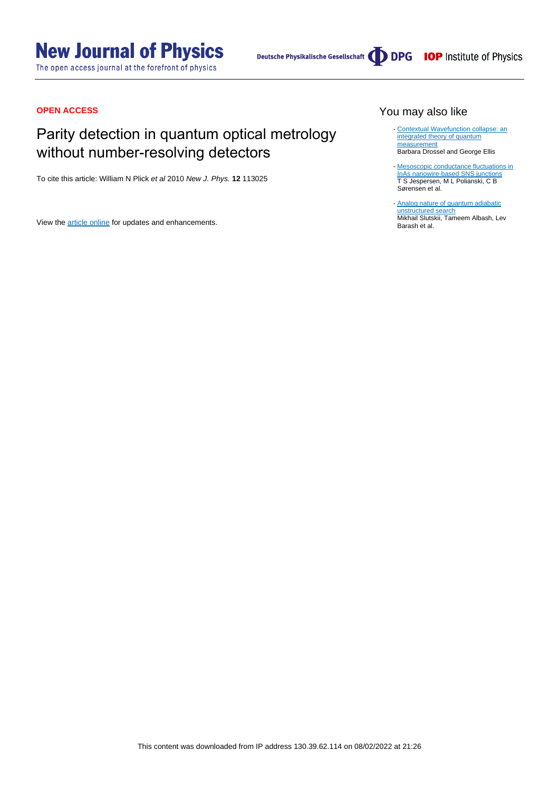## **New Journal of Physics**

The open access journal at the forefront of physics



#### **OPEN ACCESS**

## Parity detection in quantum optical metrology without number-resolving detectors

To cite this article: William N Plick et al 2010 New J. Phys. **12** 113025

View the [article online](https://doi.org/10.1088/1367-2630/12/11/113025) for updates and enhancements.

#### You may also like

- [Contextual Wavefunction collapse: an](/article/10.1088/1367-2630/aaecec) [integrated theory of quantum](/article/10.1088/1367-2630/aaecec) [measurement](/article/10.1088/1367-2630/aaecec)

Barbara Drossel and George Ellis

- [Mesoscopic conductance fluctuations in](/article/10.1088/1367-2630/11/11/113025) [InAs nanowire-based SNS junctions](/article/10.1088/1367-2630/11/11/113025) T S Jespersen, M L Polianski, C B Sørensen et al. -
- [Analog nature of quantum adiabatic](/article/10.1088/1367-2630/ab51f9) [unstructured search](/article/10.1088/1367-2630/ab51f9) Mikhail Slutskii, Tameem Albash, Lev Barash et al.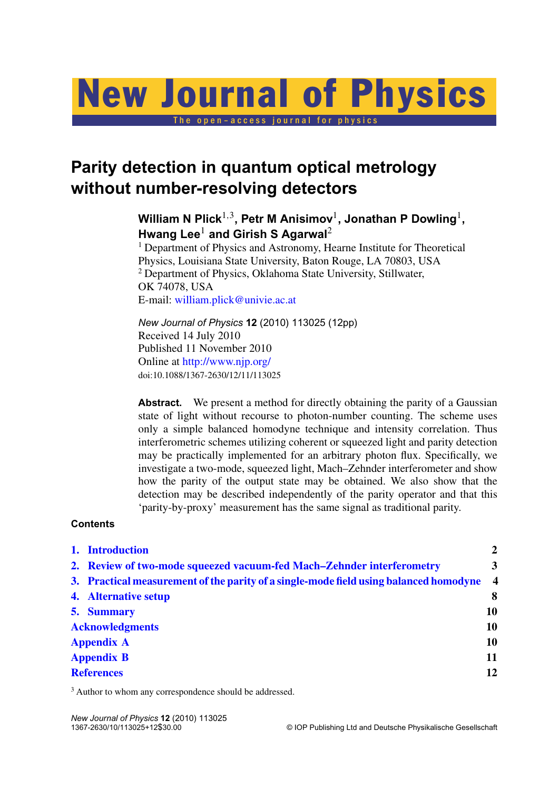# New Journal of Physics

The open-access journal for physic

## **Parity detection in quantum optical metrology without number-resolving detectors**

### William N Plick<sup>1,3</sup>, Petr M Anisimov<sup>1</sup>, Jonathan P Dowling<sup>1</sup>, **Hwang Lee**<sup>1</sup> **and Girish S Agarwal**<sup>2</sup>

<sup>1</sup> Department of Physics and Astronomy, Hearne Institute for Theoretical Physics, Louisiana State University, Baton Rouge, LA 70803, USA <sup>2</sup> Department of Physics, Oklahoma State University, Stillwater, OK 74078, USA E-mail: [william.plick@univie.ac.at](mailto:william.plick@univie.ac.at)

*New Journal of Physics* **12** (2010) 113025 (12pp) Received 14 July 2010 Published 11 November 2010 Online at <http://www.njp.org/> doi:10.1088/1367-2630/12/11/113025

**Abstract.** We present a method for directly obtaining the parity of a Gaussian state of light without recourse to photon-number counting. The scheme uses only a simple balanced homodyne technique and intensity correlation. Thus interferometric schemes utilizing coherent or squeezed light and parity detection may be practically implemented for an arbitrary photon flux. Specifically, we investigate a two-mode, squeezed light, Mach–Zehnder interferometer and show how the parity of the output state may be obtained. We also show that the detection may be described independently of the parity operator and that this 'parity-by-proxy' measurement has the same signal as traditional parity.

#### **Contents**

|                   | 1. Introduction                                                                       | $\overline{2}$          |
|-------------------|---------------------------------------------------------------------------------------|-------------------------|
|                   | 2. Review of two-mode squeezed vacuum-fed Mach-Zehnder interferometry                 | 3                       |
|                   | 3. Practical measurement of the parity of a single-mode field using balanced homodyne | $\overline{\mathbf{4}}$ |
|                   | 4. Alternative setup                                                                  | 8                       |
|                   | 5. Summary                                                                            | 10                      |
|                   | <b>Acknowledgments</b>                                                                |                         |
|                   | <b>Appendix A</b>                                                                     |                         |
|                   | <b>Appendix B</b>                                                                     |                         |
| <b>References</b> |                                                                                       | 12                      |
|                   |                                                                                       |                         |

<sup>3</sup> Author to whom any correspondence should be addressed.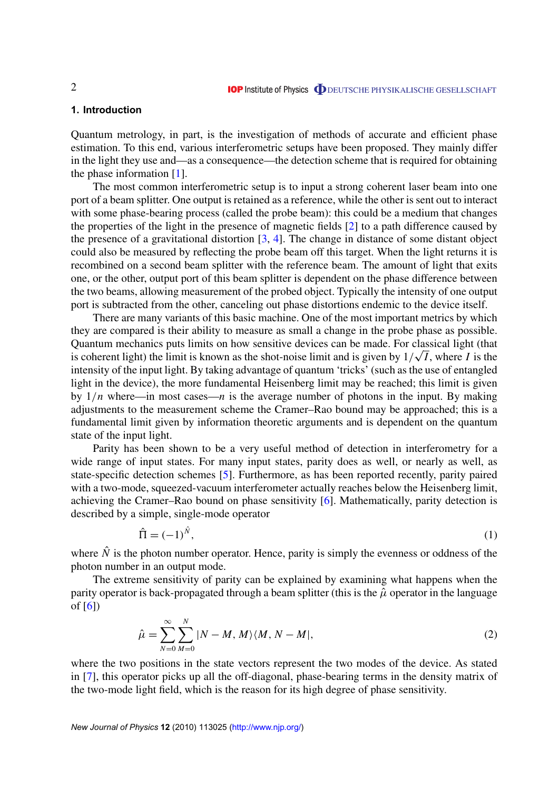#### <span id="page-3-0"></span>**1. Introduction**

Quantum metrology, in part, is the investigation of methods of accurate and efficient phase estimation. To this end, various interferometric setups have been proposed. They mainly differ in the light they use and—as a consequence—the detection scheme that is required for obtaining the phase information [\[1\]](#page-13-0).

The most common interferometric setup is to input a strong coherent laser beam into one port of a beam splitter. One output is retained as a reference, while the other is sent out to interact with some phase-bearing process (called the probe beam): this could be a medium that changes the properties of the light in the presence of magnetic fields [\[2\]](#page-13-0) to a path difference caused by the presence of a gravitational distortion [\[3,](#page-13-0) [4\]](#page-13-0). The change in distance of some distant object could also be measured by reflecting the probe beam off this target. When the light returns it is recombined on a second beam splitter with the reference beam. The amount of light that exits one, or the other, output port of this beam splitter is dependent on the phase difference between the two beams, allowing measurement of the probed object. Typically the intensity of one output port is subtracted from the other, canceling out phase distortions endemic to the device itself.

There are many variants of this basic machine. One of the most important metrics by which they are compared is their ability to measure as small a change in the probe phase as possible. Quantum mechanics puts limits on how sensitive devices can be made. For classical light (that is coherent light) the limit is known as the shot-noise limit and is given by  $1/\sqrt{I}$ , where *I* is the intensity of the input light. By taking advantage of quantum 'tricks' (such as the use of entangled light in the device), the more fundamental Heisenberg limit may be reached; this limit is given by  $1/n$  where—in most cases—*n* is the average number of photons in the input. By making adjustments to the measurement scheme the Cramer–Rao bound may be approached; this is a fundamental limit given by information theoretic arguments and is dependent on the quantum state of the input light.

Parity has been shown to be a very useful method of detection in interferometry for a wide range of input states. For many input states, parity does as well, or nearly as well, as state-specific detection schemes [\[5\]](#page-13-0). Furthermore, as has been reported recently, parity paired with a two-mode, squeezed-vacuum interferometer actually reaches below the Heisenberg limit, achieving the Cramer–Rao bound on phase sensitivity [\[6\]](#page-13-0). Mathematically, parity detection is described by a simple, single-mode operator

$$
\hat{\Pi} = (-1)^{\hat{N}},\tag{1}
$$

where  $\hat{N}$  is the photon number operator. Hence, parity is simply the evenness or oddness of the photon number in an output mode.

The extreme sensitivity of parity can be explained by examining what happens when the parity operator is back-propagated through a beam splitter (this is the  $\hat{\mu}$  operator in the language of  $[6]$ 

$$
\hat{\mu} = \sum_{N=0}^{\infty} \sum_{M=0}^{N} |N - M, M\rangle \langle M, N - M|,
$$
\n(2)

where the two positions in the state vectors represent the two modes of the device. As stated in [\[7\]](#page-13-0), this operator picks up all the off-diagonal, phase-bearing terms in the density matrix of the two-mode light field, which is the reason for its high degree of phase sensitivity.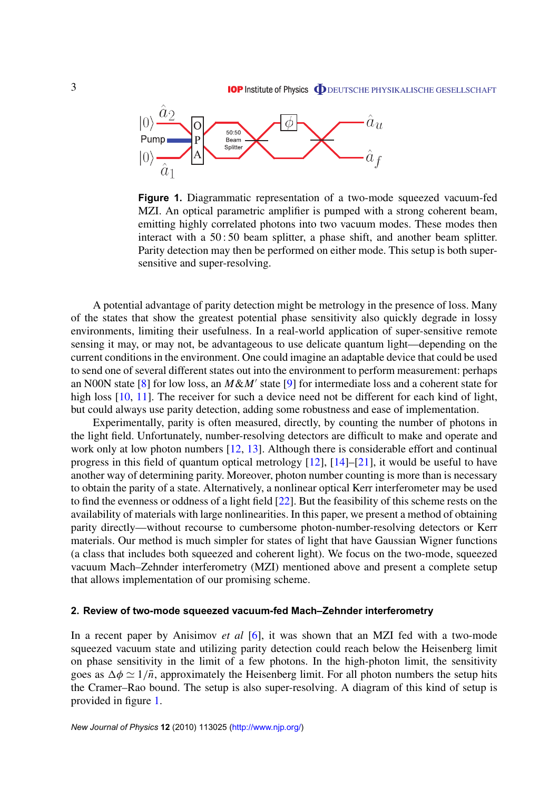<span id="page-4-0"></span>

**Figure 1.** Diagrammatic representation of a two-mode squeezed vacuum-fed MZI. An optical parametric amplifier is pumped with a strong coherent beam, emitting highly correlated photons into two vacuum modes. These modes then interact with a  $50:50$  beam splitter, a phase shift, and another beam splitter. Parity detection may then be performed on either mode. This setup is both supersensitive and super-resolving.

A potential advantage of parity detection might be metrology in the presence of loss. Many of the states that show the greatest potential phase sensitivity also quickly degrade in lossy environments, limiting their usefulness. In a real-world application of super-sensitive remote sensing it may, or may not, be advantageous to use delicate quantum light—depending on the current conditions in the environment. One could imagine an adaptable device that could be used to send one of several different states out into the environment to perform measurement: perhaps an N00N state [\[8\]](#page-13-0) for low loss, an  $M\&M'$  state [\[9\]](#page-13-0) for intermediate loss and a coherent state for high loss [\[10,](#page-13-0) [11\]](#page-13-0). The receiver for such a device need not be different for each kind of light, but could always use parity detection, adding some robustness and ease of implementation.

Experimentally, parity is often measured, directly, by counting the number of photons in the light field. Unfortunately, number-resolving detectors are difficult to make and operate and work only at low photon numbers [\[12,](#page-13-0) [13\]](#page-13-0). Although there is considerable effort and continual progress in this field of quantum optical metrology [\[12\]](#page-13-0), [\[14\]](#page-13-0)–[\[21\]](#page-13-0), it would be useful to have another way of determining parity. Moreover, photon number counting is more than is necessary to obtain the parity of a state. Alternatively, a nonlinear optical Kerr interferometer may be used to find the evenness or oddness of a light field [\[22\]](#page-13-0). But the feasibility of this scheme rests on the availability of materials with large nonlinearities. In this paper, we present a method of obtaining parity directly—without recourse to cumbersome photon-number-resolving detectors or Kerr materials. Our method is much simpler for states of light that have Gaussian Wigner functions (a class that includes both squeezed and coherent light). We focus on the two-mode, squeezed vacuum Mach–Zehnder interferometry (MZI) mentioned above and present a complete setup that allows implementation of our promising scheme.

#### **2. Review of two-mode squeezed vacuum-fed Mach–Zehnder interferometry**

In a recent paper by Anisimov *et al* [\[6\]](#page-13-0), it was shown that an MZI fed with a two-mode squeezed vacuum state and utilizing parity detection could reach below the Heisenberg limit on phase sensitivity in the limit of a few photons. In the high-photon limit, the sensitivity goes as  $\Delta \phi \simeq 1/\bar{n}$ , approximately the Heisenberg limit. For all photon numbers the setup hits the Cramer–Rao bound. The setup is also super-resolving. A diagram of this kind of setup is provided in figure 1.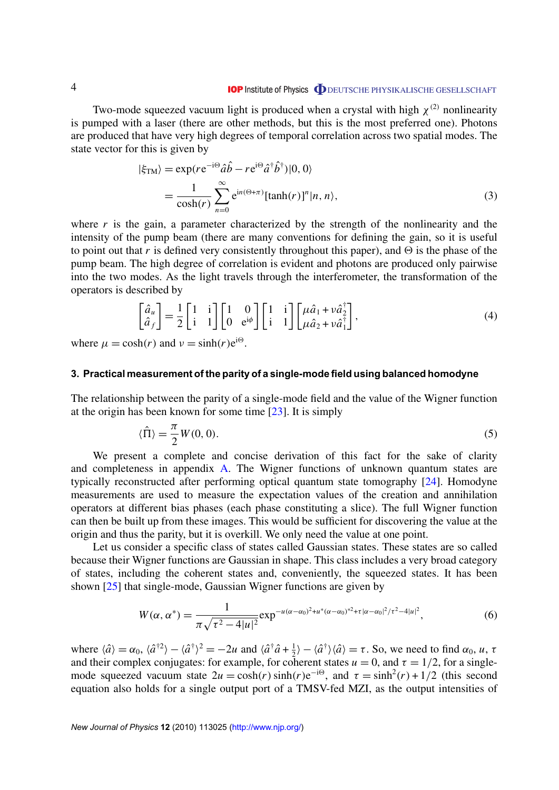<span id="page-5-0"></span>Two-mode squeezed vacuum light is produced when a crystal with high  $\chi^{(2)}$  nonlinearity is pumped with a laser (there are other methods, but this is the most preferred one). Photons are produced that have very high degrees of temporal correlation across two spatial modes. The state vector for this is given by

$$
|\xi_{TM}\rangle = \exp(re^{-i\Theta}\hat{a}\hat{b} - re^{i\Theta}\hat{a}^{\dagger}\hat{b}^{\dagger})|0,0\rangle
$$
  
= 
$$
\frac{1}{\cosh(r)}\sum_{n=0}^{\infty}e^{in(\Theta+\pi)}[\tanh(r)]^{n}|n,n\rangle,
$$
 (3)

where  $r$  is the gain, a parameter characterized by the strength of the nonlinearity and the intensity of the pump beam (there are many conventions for defining the gain, so it is useful to point out that *r* is defined very consistently throughout this paper), and  $\Theta$  is the phase of the pump beam. The high degree of correlation is evident and photons are produced only pairwise into the two modes. As the light travels through the interferometer, the transformation of the operators is described by

$$
\begin{bmatrix} \hat{a}_u \\ \hat{a}_f \end{bmatrix} = \frac{1}{2} \begin{bmatrix} 1 & i \\ i & 1 \end{bmatrix} \begin{bmatrix} 1 & 0 \\ 0 & e^{i\phi} \end{bmatrix} \begin{bmatrix} 1 & i \\ i & 1 \end{bmatrix} \begin{bmatrix} \mu \hat{a}_1 + v \hat{a}_2^{\dagger} \\ \mu \hat{a}_2 + v \hat{a}_1^{\dagger} \end{bmatrix},\tag{4}
$$

where  $\mu = \cosh(r)$  and  $\nu = \sinh(r)e^{i\Theta}$ .

#### **3. Practical measurement of the parity of a single-mode field using balanced homodyne**

The relationship between the parity of a single-mode field and the value of the Wigner function at the origin has been known for some time [\[23\]](#page-13-0). It is simply

$$
\langle \hat{\Pi} \rangle = \frac{\pi}{2} W(0, 0). \tag{5}
$$

We present a complete and concise derivation of this fact for the sake of clarity and completeness in appendix [A.](#page-11-0) The Wigner functions of unknown quantum states are typically reconstructed after performing optical quantum state tomography [\[24\]](#page-13-0). Homodyne measurements are used to measure the expectation values of the creation and annihilation operators at different bias phases (each phase constituting a slice). The full Wigner function can then be built up from these images. This would be sufficient for discovering the value at the origin and thus the parity, but it is overkill. We only need the value at one point.

Let us consider a specific class of states called Gaussian states. These states are so called because their Wigner functions are Gaussian in shape. This class includes a very broad category of states, including the coherent states and, conveniently, the squeezed states. It has been shown [\[25\]](#page-13-0) that single-mode, Gaussian Wigner functions are given by

$$
W(\alpha, \alpha^*) = \frac{1}{\pi \sqrt{\tau^2 - 4|u|^2}} \exp^{-u(\alpha - \alpha_0)^2 + u^*(\alpha - \alpha_0)^2 + \tau |\alpha - \alpha_0|^2 / \tau^2 - 4|u|^2},
$$
(6)

where  $\langle \hat{a} \rangle = \alpha_0$ ,  $\langle \hat{a}^{\dagger 2} \rangle - \langle \hat{a}^{\dagger} \rangle^2 = -2u$  and  $\langle \hat{a}^{\dagger} \hat{a} + \frac{1}{2} \rangle$  $\langle \frac{1}{2} \rangle - \langle \hat{a}^{\dagger} \rangle \langle \hat{a} \rangle = \tau$ . So, we need to find  $\alpha_0, u, \tau$ and their complex conjugates: for example, for coherent states  $u = 0$ , and  $\tau = 1/2$ , for a singlemode squeezed vacuum state  $2u = \cosh(r) \sinh(r) e^{-i\Theta}$ , and  $\tau = \sinh^2(r) + 1/2$  (this second equation also holds for a single output port of a TMSV-fed MZI, as the output intensities of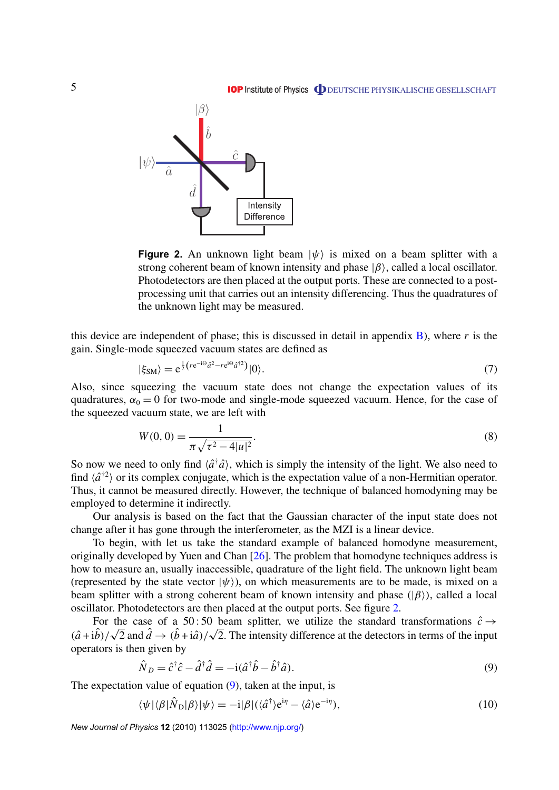<span id="page-6-0"></span>

**Figure 2.** An unknown light beam  $|\psi\rangle$  is mixed on a beam splitter with a strong coherent beam of known intensity and phase  $|\beta\rangle$ , called a local oscillator. Photodetectors are then placed at the output ports. These are connected to a postprocessing unit that carries out an intensity differencing. Thus the quadratures of the unknown light may be measured.

this device are independent of phase; this is discussed in detail in appendix  $\bf{B}$ ), where *r* is the gain. Single-mode squeezed vacuum states are defined as

$$
|\xi_{\rm SM}\rangle = e^{\frac{1}{2}(re^{-i\Theta}\hat{a}^2 - re^{i\Theta}\hat{a}^{\dagger 2})}|0\rangle. \tag{7}
$$

Also, since squeezing the vacuum state does not change the expectation values of its quadratures,  $\alpha_0 = 0$  for two-mode and single-mode squeezed vacuum. Hence, for the case of the squeezed vacuum state, we are left with

$$
W(0, 0) = \frac{1}{\pi \sqrt{\tau^2 - 4|u|^2}}.
$$
\n(8)

So now we need to only find  $\langle \hat{a}^\dagger \hat{a} \rangle$ , which is simply the intensity of the light. We also need to find  $\langle \hat{a}^{\dagger 2} \rangle$  or its complex conjugate, which is the expectation value of a non-Hermitian operator. Thus, it cannot be measured directly. However, the technique of balanced homodyning may be employed to determine it indirectly.

Our analysis is based on the fact that the Gaussian character of the input state does not change after it has gone through the interferometer, as the MZI is a linear device.

To begin, with let us take the standard example of balanced homodyne measurement, originally developed by Yuen and Chan [\[26\]](#page-13-0). The problem that homodyne techniques address is how to measure an, usually inaccessible, quadrature of the light field. The unknown light beam (represented by the state vector  $|\psi\rangle$ ), on which measurements are to be made, is mixed on a beam splitter with a strong coherent beam of known intensity and phase  $(|\beta\rangle)$ , called a local oscillator. Photodetectors are then placed at the output ports. See figure 2.

For the case of a 50:50 beam splitter, we utilize the standard transformations  $\hat{c} \rightarrow$ For the case of a 50:50 beam splitter, we utilize the standard transformations  $\hat{c} \rightarrow (\hat{a} + i\hat{b})/\sqrt{2}$  and  $\hat{d} \rightarrow (\hat{b} + i\hat{a})/\sqrt{2}$ . The intensity difference at the detectors in terms of the input operators is then given by

$$
\hat{N}_D = \hat{c}^\dagger \hat{c} - \hat{d}^\dagger \hat{d} = -\mathrm{i}(\hat{a}^\dagger \hat{b} - \hat{b}^\dagger \hat{a}).\tag{9}
$$

The expectation value of equation (9), taken at the input, is

$$
\langle \psi | \langle \beta | \hat{N}_{\text{D}} | \beta \rangle | \psi \rangle = -i|\beta| (\langle \hat{a}^{\dagger} \rangle e^{i\eta} - \langle \hat{a} \rangle e^{-i\eta}), \tag{10}
$$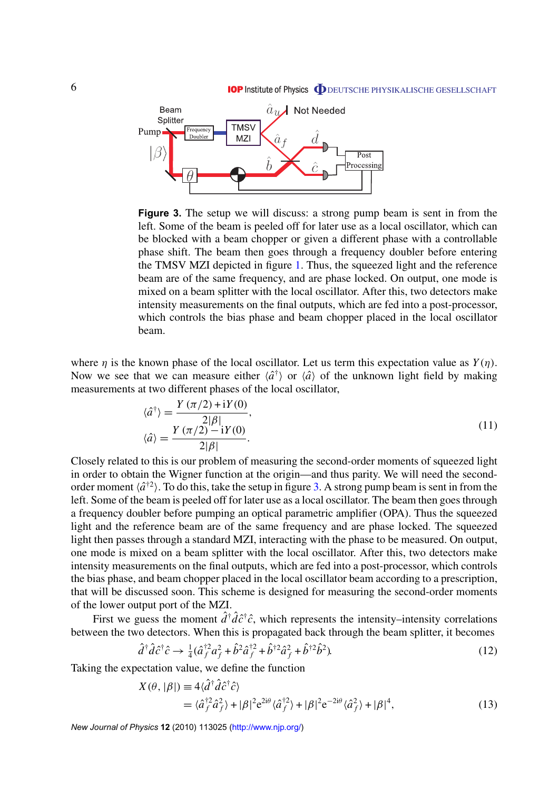#### **IOP** Institute of Physics **ODEUTSCHE PHYSIKALISCHE GESELLSCHAFT**



**Figure 3.** The setup we will discuss: a strong pump beam is sent in from the left. Some of the beam is peeled off for later use as a local oscillator, which can be blocked with a beam chopper or given a different phase with a controllable phase shift. The beam then goes through a frequency doubler before entering the TMSV MZI depicted in figure [1.](#page-4-0) Thus, the squeezed light and the reference beam are of the same frequency, and are phase locked. On output, one mode is mixed on a beam splitter with the local oscillator. After this, two detectors make intensity measurements on the final outputs, which are fed into a post-processor, which controls the bias phase and beam chopper placed in the local oscillator beam.

where  $\eta$  is the known phase of the local oscillator. Let us term this expectation value as  $Y(\eta)$ . Now we see that we can measure either  $\langle \hat{a}^{\dagger} \rangle$  or  $\langle \hat{a} \rangle$  of the unknown light field by making measurements at two different phases of the local oscillator,

$$
\langle \hat{a}^{\dagger} \rangle = \frac{Y(\pi/2) + iY(0)}{2|\beta|},
$$
  

$$
\langle \hat{a} \rangle = \frac{Y(\pi/2) - iY(0)}{2|\beta|}.
$$
 (11)

Closely related to this is our problem of measuring the second-order moments of squeezed light in order to obtain the Wigner function at the origin—and thus parity. We will need the secondorder moment  $\langle \hat{a}^{\dagger 2} \rangle$ . To do this, take the setup in figure 3. A strong pump beam is sent in from the left. Some of the beam is peeled off for later use as a local oscillator. The beam then goes through a frequency doubler before pumping an optical parametric amplifier (OPA). Thus the squeezed light and the reference beam are of the same frequency and are phase locked. The squeezed light then passes through a standard MZI, interacting with the phase to be measured. On output, one mode is mixed on a beam splitter with the local oscillator. After this, two detectors make intensity measurements on the final outputs, which are fed into a post-processor, which controls the bias phase, and beam chopper placed in the local oscillator beam according to a prescription, that will be discussed soon. This scheme is designed for measuring the second-order moments of the lower output port of the MZI.

First we guess the moment  $\hat{d}^{\dagger} \hat{d} \hat{c}^{\dagger} \hat{c}$ , which represents the intensity–intensity correlations between the two detectors. When this is propagated back through the beam splitter, it becomes

$$
\hat{d}^{\dagger}\hat{d}\hat{c}^{\dagger}\hat{c} \to \frac{1}{4}(\hat{a}_f^{\dagger 2}a_f^2 + \hat{b}^2\hat{a}_f^{\dagger 2} + \hat{b}^{\dagger 2}\hat{a}_f^2 + \hat{b}^{\dagger 2}\hat{b}^2). \tag{12}
$$

Taking the expectation value, we define the function

$$
X(\theta, |\beta|) \equiv 4\langle \hat{d}^{\dagger} \hat{d} \hat{c}^{\dagger} \hat{c} \rangle
$$
  
=  $\langle \hat{a}_f^{\dagger 2} \hat{a}_f^2 \rangle + |\beta|^2 e^{2i\theta} \langle \hat{a}_f^{\dagger 2} \rangle + |\beta|^2 e^{-2i\theta} \langle \hat{a}_f^2 \rangle + |\beta|^4,$  (13)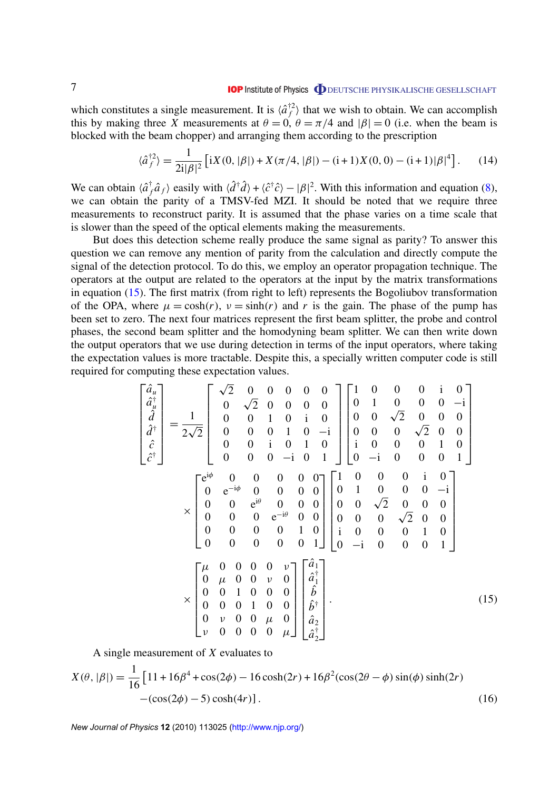<span id="page-8-0"></span>which constitutes a single measurement. It is  $\langle \hat{a}_f^{\dagger 2} \rangle$  $f_f^{\dagger 2}$  that we wish to obtain. We can accomplish this by making three X measurements at  $\theta = 0$ ,  $\theta = \pi/4$  and  $|\beta| = 0$  (i.e. when the beam is blocked with the beam chopper) and arranging them according to the prescription

$$
\langle \hat{a}_f^{\dagger 2} \rangle = \frac{1}{2i|\beta|^2} \left[ iX(0, |\beta|) + X(\pi/4, |\beta|) - (i+1)X(0, 0) - (i+1)|\beta|^4 \right]. \tag{14}
$$

We can obtain  $\langle \hat{a}^\dagger_{\beta} \rangle$  $f_{f}^{\dagger} \hat{a}_{f}$  asily with  $\langle \hat{d}^{\dagger} \hat{d} \rangle + \langle \hat{c}^{\dagger} \hat{c} \rangle - |\beta|^{2}$ . With this information and equation [\(8\)](#page-6-0), we can obtain the parity of a TMSV-fed MZI. It should be noted that we require three measurements to reconstruct parity. It is assumed that the phase varies on a time scale that is slower than the speed of the optical elements making the measurements.

But does this detection scheme really produce the same signal as parity? To answer this question we can remove any mention of parity from the calculation and directly compute the signal of the detection protocol. To do this, we employ an operator propagation technique. The operators at the output are related to the operators at the input by the matrix transformations in equation (15). The first matrix (from right to left) represents the Bogoliubov transformation of the OPA, where  $\mu = \cosh(r)$ ,  $\nu = \sinh(r)$  and r is the gain. The phase of the pump has been set to zero. The next four matrices represent the first beam splitter, the probe and control phases, the second beam splitter and the homodyning beam splitter. We can then write down the output operators that we use during detection in terms of the input operators, where taking the expectation values is more tractable. Despite this, a specially written computer code is still required for computing these expectation values. √

$$
\begin{bmatrix}\n\hat{a}_{u} \\
\hat{a}_{u}^{\dagger} \\
\hat{d}^{\dagger} \\
\hat{c}^{\dagger} \\
\hat{c}^{\dagger}\n\end{bmatrix} = \frac{1}{2\sqrt{2}} \begin{bmatrix}\n\sqrt{2} & 0 & 0 & 0 & 0 & 0 \\
0 & \sqrt{2} & 0 & 0 & 0 & 0 \\
0 & 0 & 1 & 0 & \mathbf{i} & 0 \\
0 & 0 & 0 & 1 & 0 & -\mathbf{i} \\
0 & 0 & 0 & 1 & 0 & -\mathbf{i} \\
0 & 0 & 0 & 0 & 1 & 0\n\end{bmatrix} \begin{bmatrix}\n1 & 0 & 0 & 0 & \mathbf{i} & 0 \\
0 & 1 & 0 & 0 & 0 & -\mathbf{i} \\
0 & 0 & \sqrt{2} & 0 & 0 & 0 \\
0 & 0 & 0 & 1 & 0 & \mathbf{i} \\
0 & 0 & 0 & 0 & 0 & 0 \\
0 & 0 & 0 & 0 & 0 & 1 \\
0 & 0 & 0 & 0 & 0 & 0\n\end{bmatrix} \begin{bmatrix}\n1 & 0 & 0 & 0 & \mathbf{i} & 0 \\
0 & 0 & 0 & \sqrt{2} & 0 & 0 \\
\mathbf{i} & 0 & 0 & 0 & 0 & \mathbf{i} \\
0 & 0 & 0 & 0 & 0 \\
0 & 0 & 0 & 0 & 0 \\
0 & 0 & 0 & 0 & 0 \\
0 & 0 & 0 & 0 & 1\n\end{bmatrix} \begin{bmatrix}\n1 & 0 & 0 & 0 & \mathbf{i} & 0 \\
0 & 1 & 0 & 0 & 0 & \mathbf{i} \\
\mathbf{0} & 0 & 0 & 0 & 0 \\
0 & 0 & \sqrt{2} & 0 & 0 & 0 \\
\mathbf{0} & 0 & 0 & 0 & 0 & 0 \\
0 & 0 & 0 & 0 & 0 & 0 \\
0 & 0 & 0 & 0 & 0 & 0 \\
0 & 0 & 0 & 0 & 0 & 0\n\end{bmatrix} \begin{bmatrix}\n\hat{a}_{1} \\
\hat{b} \\
\hat{b} \\
\hat{b} \\
\hat{c} \\
\hat{d} \\
\hat{d} \\
\hat{c} \\
\hat{c} \\
\hat{c} \\
\hat{c} \\
\hat{c} \\
\hat{d} \\
\hat{c} \\
\hat{d} \\
\hat{c} \\
$$

A single measurement of *X* evaluates to

$$
X(\theta, |\beta|) = \frac{1}{16} \left[ 11 + 16\beta^4 + \cos(2\phi) - 16\cosh(2r) + 16\beta^2(\cos(2\theta - \phi)\sin(\phi)\sinh(2r) - (\cos(2\phi) - 5)\cosh(4r) \right].
$$
 (16)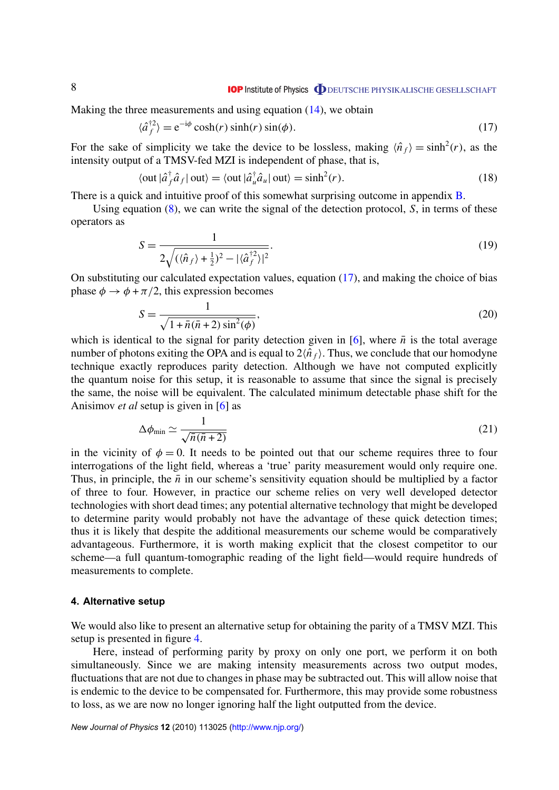<span id="page-9-0"></span>Making the three measurements and using equation  $(14)$ , we obtain

$$
\langle \hat{a}_f^{\dagger 2} \rangle = e^{-i\phi} \cosh(r) \sinh(r) \sin(\phi). \tag{17}
$$

For the sake of simplicity we take the device to be lossless, making  $\langle \hat{n}_f \rangle = \sinh^2(r)$ , as the intensity output of a TMSV-fed MZI is independent of phase, that is,

$$
\langle \text{out } |\hat{a}_f^\dagger \hat{a}_f | \text{ out} \rangle = \langle \text{out } |\hat{a}_u^\dagger \hat{a}_u | \text{ out} \rangle = \sinh^2(r). \tag{18}
$$

There is a quick and intuitive proof of this somewhat surprising outcome in appendix **B**.

Using equation [\(8\)](#page-6-0), we can write the signal of the detection protocol, *S*, in terms of these operators as

$$
S = \frac{1}{2\sqrt{(\langle \hat{n}_f \rangle + \frac{1}{2})^2 - |\langle \hat{a}_f^{\dagger 2} \rangle|^2}}.
$$
\n(19)

On substituting our calculated expectation values, equation (17), and making the choice of bias phase  $\phi \rightarrow \phi + \pi/2$ , this expression becomes

$$
S = \frac{1}{\sqrt{1 + \bar{n}(\bar{n} + 2)\sin^2(\phi)}},\tag{20}
$$

which is identical to the signal for parity detection given in [\[6\]](#page-13-0), where  $\bar{n}$  is the total average number of photons exiting the OPA and is equal to  $2\langle \hat{n}_f \rangle$ . Thus, we conclude that our homodyne technique exactly reproduces parity detection. Although we have not computed explicitly the quantum noise for this setup, it is reasonable to assume that since the signal is precisely the same, the noise will be equivalent. The calculated minimum detectable phase shift for the Anisimov *et al* setup is given in [\[6\]](#page-13-0) as

$$
\Delta \phi_{\min} \simeq \frac{1}{\sqrt{\bar{n}(\bar{n}+2)}}\tag{21}
$$

in the vicinity of  $\phi = 0$ . It needs to be pointed out that our scheme requires three to four interrogations of the light field, whereas a 'true' parity measurement would only require one. Thus, in principle, the  $\bar{n}$  in our scheme's sensitivity equation should be multiplied by a factor of three to four. However, in practice our scheme relies on very well developed detector technologies with short dead times; any potential alternative technology that might be developed to determine parity would probably not have the advantage of these quick detection times; thus it is likely that despite the additional measurements our scheme would be comparatively advantageous. Furthermore, it is worth making explicit that the closest competitor to our scheme—a full quantum-tomographic reading of the light field—would require hundreds of measurements to complete.

#### **4. Alternative setup**

We would also like to present an alternative setup for obtaining the parity of a TMSV MZI. This setup is presented in figure [4.](#page-10-0)

Here, instead of performing parity by proxy on only one port, we perform it on both simultaneously. Since we are making intensity measurements across two output modes, fluctuations that are not due to changes in phase may be subtracted out. This will allow noise that is endemic to the device to be compensated for. Furthermore, this may provide some robustness to loss, as we are now no longer ignoring half the light outputted from the device.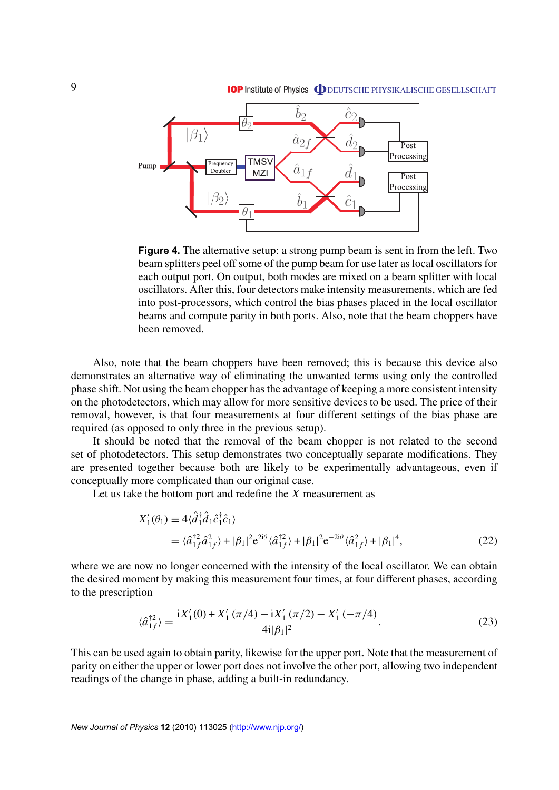<span id="page-10-0"></span>

**Figure 4.** The alternative setup: a strong pump beam is sent in from the left. Two beam splitters peel off some of the pump beam for use later as local oscillators for each output port. On output, both modes are mixed on a beam splitter with local oscillators. After this, four detectors make intensity measurements, which are fed into post-processors, which control the bias phases placed in the local oscillator beams and compute parity in both ports. Also, note that the beam choppers have been removed.

Also, note that the beam choppers have been removed; this is because this device also demonstrates an alternative way of eliminating the unwanted terms using only the controlled phase shift. Not using the beam chopper has the advantage of keeping a more consistent intensity on the photodetectors, which may allow for more sensitive devices to be used. The price of their removal, however, is that four measurements at four different settings of the bias phase are required (as opposed to only three in the previous setup).

It should be noted that the removal of the beam chopper is not related to the second set of photodetectors. This setup demonstrates two conceptually separate modifications. They are presented together because both are likely to be experimentally advantageous, even if conceptually more complicated than our original case.

Let us take the bottom port and redefine the *X* measurement as

$$
X'_{1}(\theta_{1}) \equiv 4\langle \hat{d}_{1}^{\dagger} \hat{d}_{1} \hat{c}_{1}^{\dagger} \hat{c}_{1} \rangle
$$
  
=  $\langle \hat{a}_{1f}^{\dagger 2} \hat{a}_{1f}^{2} \rangle + |\beta_{1}|^{2} e^{2i\theta} \langle \hat{a}_{1f}^{\dagger 2} \rangle + |\beta_{1}|^{2} e^{-2i\theta} \langle \hat{a}_{1f}^{2} \rangle + |\beta_{1}|^{4},$  (22)

where we are now no longer concerned with the intensity of the local oscillator. We can obtain the desired moment by making this measurement four times, at four different phases, according to the prescription

$$
\langle \hat{a}_{1f}^{\dagger 2} \rangle = \frac{\mathrm{i}X_1'(0) + X_1'(\pi/4) - \mathrm{i}X_1'(\pi/2) - X_1'(-\pi/4)}{4\mathrm{i}|\beta_1|^2}.
$$
 (23)

This can be used again to obtain parity, likewise for the upper port. Note that the measurement of parity on either the upper or lower port does not involve the other port, allowing two independent readings of the change in phase, adding a built-in redundancy.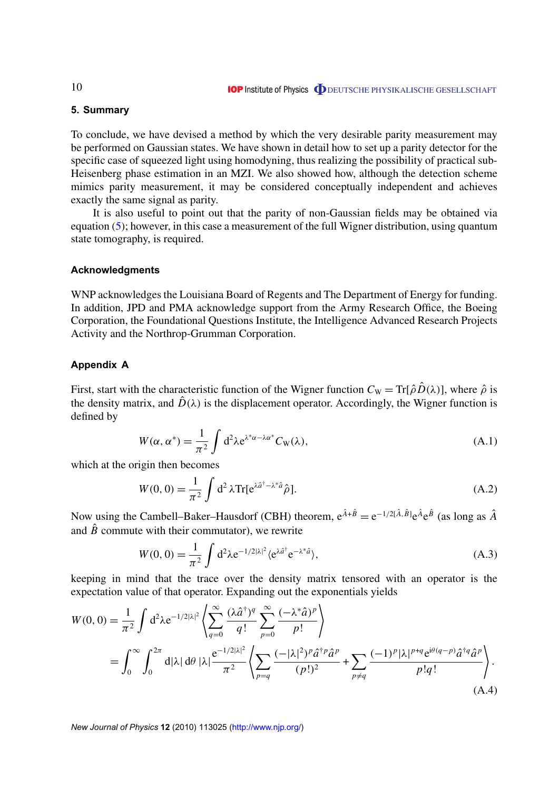#### <span id="page-11-0"></span>**5. Summary**

To conclude, we have devised a method by which the very desirable parity measurement may be performed on Gaussian states. We have shown in detail how to set up a parity detector for the specific case of squeezed light using homodyning, thus realizing the possibility of practical sub-Heisenberg phase estimation in an MZI. We also showed how, although the detection scheme mimics parity measurement, it may be considered conceptually independent and achieves exactly the same signal as parity.

It is also useful to point out that the parity of non-Gaussian fields may be obtained via equation [\(5\)](#page-5-0); however, in this case a measurement of the full Wigner distribution, using quantum state tomography, is required.

#### **Acknowledgments**

WNP acknowledges the Louisiana Board of Regents and The Department of Energy for funding. In addition, JPD and PMA acknowledge support from the Army Research Office, the Boeing Corporation, the Foundational Questions Institute, the Intelligence Advanced Research Projects Activity and the Northrop-Grumman Corporation.

#### **Appendix A**

First, start with the characteristic function of the Wigner function  $C_W = Tr[\hat{\rho}\hat{D}(\lambda)]$ , where  $\hat{\rho}$  is the density matrix, and  $\hat{D}(\lambda)$  is the displacement operator. Accordingly, the Wigner function is defined by

$$
W(\alpha, \alpha^*) = \frac{1}{\pi^2} \int d^2 \lambda e^{\lambda^* \alpha - \lambda \alpha^*} C_W(\lambda), \tag{A.1}
$$

which at the origin then becomes

$$
W(0, 0) = \frac{1}{\pi^2} \int d^2 \lambda \text{Tr} [e^{\lambda \hat{a}^\dagger - \lambda^* \hat{a}} \hat{\rho}].
$$
 (A.2)

Now using the Cambell–Baker–Hausdorf (CBH) theorem,  $e^{\hat{A}+\hat{B}} = e^{-1/2[\hat{A},\hat{B}]}e^{\hat{A}}e^{\hat{B}}$  (as long as  $\hat{A}$ and  $\hat{B}$  commute with their commutator), we rewrite

$$
W(0,0) = \frac{1}{\pi^2} \int d^2 \lambda e^{-1/2|\lambda|^2} \langle e^{\lambda \hat{a}^\dagger} e^{-\lambda^* \hat{a}} \rangle,
$$
 (A.3)

keeping in mind that the trace over the density matrix tensored with an operator is the expectation value of that operator. Expanding out the exponentials yields

$$
W(0,0) = \frac{1}{\pi^2} \int d^2 \lambda e^{-1/2|\lambda|^2} \left\langle \sum_{q=0}^{\infty} \frac{(\lambda \hat{a}^{\dagger})^q}{q!} \sum_{p=0}^{\infty} \frac{(-\lambda^* \hat{a})^p}{p!} \right\rangle
$$
  
= 
$$
\int_0^{\infty} \int_0^{2\pi} d|\lambda| d\theta |\lambda| \frac{e^{-1/2|\lambda|^2}}{\pi^2} \left\langle \sum_{p=q} \frac{(-|\lambda|^2)^p \hat{a}^{\dagger p} \hat{a}^p}{(p!)^2} + \sum_{p \neq q} \frac{(-1)^p |\lambda|^{p+q} e^{i\theta(q-p)} \hat{a}^{\dagger q} \hat{a}^p}{p!q!} \right\rangle.
$$
(A.4)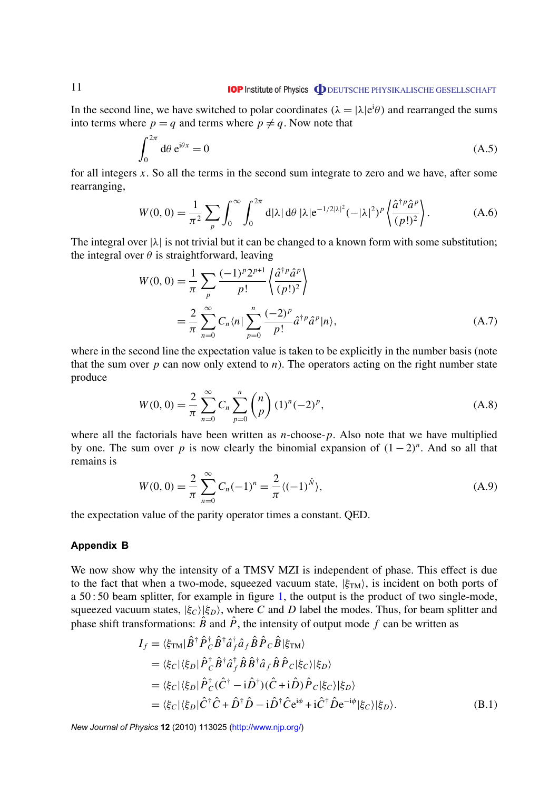#### **IOP** Institute of Physics **ODEUTSCHE PHYSIKALISCHE GESELLSCHAFT**

<span id="page-12-0"></span>In the second line, we have switched to polar coordinates ( $\lambda = |\lambda| e^{i\theta}$ ) and rearranged the sums into terms where  $p = q$  and terms where  $p \neq q$ . Now note that

$$
\int_0^{2\pi} d\theta \, e^{i\theta x} = 0 \tag{A.5}
$$

for all integers *x*. So all the terms in the second sum integrate to zero and we have, after some rearranging,

$$
W(0,0) = \frac{1}{\pi^2} \sum_{p} \int_0^{\infty} \int_0^{2\pi} d|\lambda| d\theta \, |\lambda| e^{-1/2|\lambda|^2} (-|\lambda|^2)^p \left\langle \frac{\hat{a}^\dagger^p \hat{a}^p}{(p!)^2} \right\rangle. \tag{A.6}
$$

The integral over  $|\lambda|$  is not trivial but it can be changed to a known form with some substitution; the integral over  $\theta$  is straightforward, leaving

$$
W(0, 0) = \frac{1}{\pi} \sum_{p} \frac{(-1)^p 2^{p+1}}{p!} \left\langle \frac{\hat{a}^{\dagger p} \hat{a}^p}{(p!)^2} \right\rangle
$$
  
= 
$$
\frac{2}{\pi} \sum_{n=0}^{\infty} C_n \langle n | \sum_{p=0}^{n} \frac{(-2)^p}{p!} \hat{a}^{\dagger p} \hat{a}^p | n \rangle,
$$
 (A.7)

where in the second line the expectation value is taken to be explicitly in the number basis (note that the sum over  $p$  can now only extend to  $n$ ). The operators acting on the right number state produce

$$
W(0, 0) = \frac{2}{\pi} \sum_{n=0}^{\infty} C_n \sum_{p=0}^{n} {n \choose p} (1)^n (-2)^p,
$$
 (A.8)

where all the factorials have been written as *n*-choose-*p*. Also note that we have multiplied by one. The sum over p is now clearly the binomial expansion of  $(1-2)^n$ . And so all that remains is

$$
W(0, 0) = \frac{2}{\pi} \sum_{n=0}^{\infty} C_n (-1)^n = \frac{2}{\pi} \langle (-1)^{\hat{N}} \rangle,
$$
\n(A.9)

the expectation value of the parity operator times a constant. QED.

#### **Appendix B**

We now show why the intensity of a TMSV MZI is independent of phase. This effect is due to the fact that when a two-mode, squeezed vacuum state,  $|\xi_{TM}\rangle$ , is incident on both ports of a 50 : 50 beam splitter, for example in figure [1,](#page-4-0) the output is the product of two single-mode, squeezed vacuum states,  $|\xi_C\rangle|\xi_D\rangle$ , where *C* and *D* label the modes. Thus, for beam splitter and phase shift transformations:  $\hat{B}$  and  $\hat{P}$ , the intensity of output mode f can be written as

$$
I_{f} = \langle \xi_{TM} | \hat{B}^{\dagger} \hat{P}_{C}^{\dagger} \hat{B}^{\dagger} \hat{a}_{f}^{\dagger} \hat{a}_{f} \hat{B} \hat{P}_{C} \hat{B} | \xi_{TM} \rangle
$$
  
\n
$$
= \langle \xi_{C} | \langle \xi_{D} | \hat{P}_{C}^{\dagger} \hat{B}^{\dagger} \hat{a}_{f}^{\dagger} \hat{B} \hat{B}^{\dagger} \hat{a}_{f} \hat{B} \hat{P}_{C} | \xi_{C} \rangle | \xi_{D} \rangle
$$
  
\n
$$
= \langle \xi_{C} | \langle \xi_{D} | \hat{P}_{C}^{\dagger} (\hat{C}^{\dagger} - i \hat{D}^{\dagger}) (\hat{C} + i \hat{D}) \hat{P}_{C} | \xi_{C} \rangle | \xi_{D} \rangle
$$
  
\n
$$
= \langle \xi_{C} | \langle \xi_{D} | \hat{C}^{\dagger} \hat{C} + \hat{D}^{\dagger} \hat{D} - i \hat{D}^{\dagger} \hat{C} e^{i\phi} + i \hat{C}^{\dagger} \hat{D} e^{-i\phi} | \xi_{C} \rangle | \xi_{D} \rangle.
$$
  
\n(B.1)